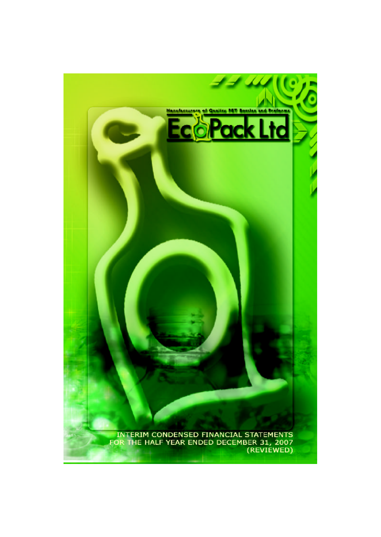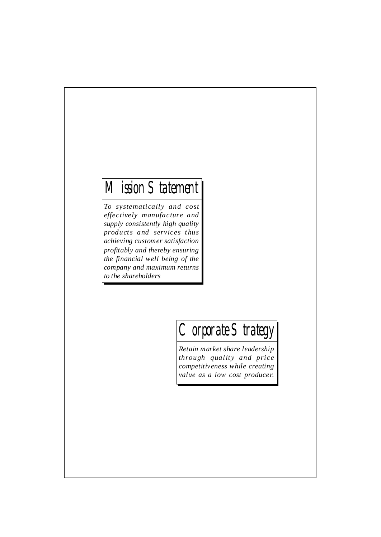### Mission Statement

*To systemati call y and cost effectively manufacture and supply consistently high quality products and services thus achieving customer satisfaction profitably and thereby ensuring the financial well being of the company and maximum returns to the shareholders*

## Corporate Strategy

*Retain market share leadership through qualit y and pri ce competitiveness while creating value as a low cost producer.*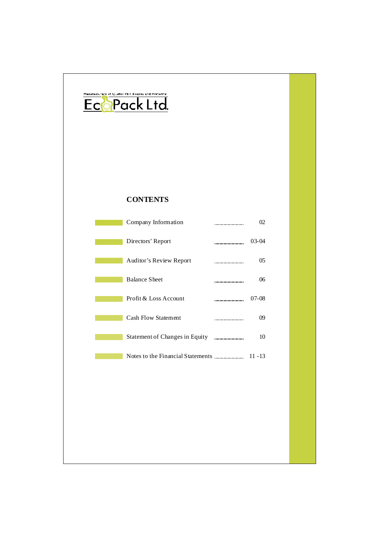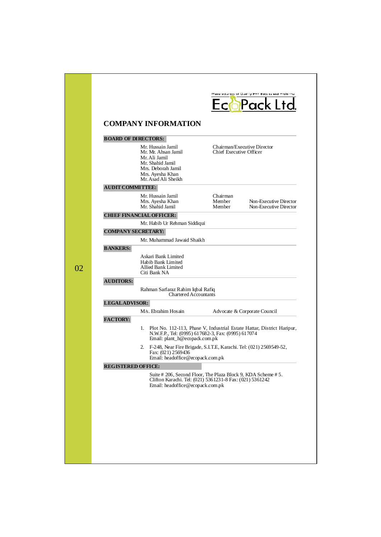| <b>COMPANY INFORMATION</b><br><b>BOARD OF DIRECTORS:</b><br>Mr. Hussain Jamil<br>Chairman/Executive Director<br>Chief Executive Officer<br>Mr. Mr. Ahsan Jamil<br>Mr. Ali Jamil<br>Mr. Shahid Jamil<br>Mrs. Deborah Jamil<br>Mrs. Ayesha Khan<br>Mr. Asad Ali Sheikh<br><b>AUDIT COMMITTEE:</b><br>Mr. Hussain Jamil<br>Chairman<br>Member<br>Mrs. Ayesha Khan<br>Mr. Shahid Jamil<br>Member<br><b>CHIEF FINANCIAL OFFICER:</b><br>Mr. Habib Ur Rehman Siddiqui<br><b>COMPANY SECRETARY:</b><br>Mr. Muhammad Jawaid Shaikh<br><b>BANKERS:</b><br>Askari Bank Limited<br>Habib Bank Limited<br><b>Allied Bank Limited</b><br>Citi Bank NA<br><b>AUDITORS:</b><br>Rahman Sarfaraz Rahim Iqbal Rafiq<br><b>Chartered Accountants</b><br><b>LEGALADVISOR:</b><br>M/s. Ebrahim Hosain<br>Advocate & Corporate Council<br><b>FACTORY:</b><br>Plot No. 112-113, Phase V, Industrial Estate Hattar, District Haripur,<br>1.<br>N.W.F.P., Tel: (0995) 617682-3, Fax: (0995) 617074<br>Email: plant_h@ecopack.com.pk<br>2. F-248, Near Fire Brigade, S.I.T.E., Karachi. Tel: (021) 2569549-52,<br>Fax: (021) 2569436<br>Email: headoffice@ecopack.com.pk<br><b>REGISTERED OFFICE:</b><br>Suite # 206, Second Floor, The Plaza Block 9, KDA Scheme # 5.<br>Clifton Karachi. Tel: (021) 5361231-8 Fax: (021) 5361242 |  | EcoPack Ltd.                                     |
|----------------------------------------------------------------------------------------------------------------------------------------------------------------------------------------------------------------------------------------------------------------------------------------------------------------------------------------------------------------------------------------------------------------------------------------------------------------------------------------------------------------------------------------------------------------------------------------------------------------------------------------------------------------------------------------------------------------------------------------------------------------------------------------------------------------------------------------------------------------------------------------------------------------------------------------------------------------------------------------------------------------------------------------------------------------------------------------------------------------------------------------------------------------------------------------------------------------------------------------------------------------------------------------------------------|--|--------------------------------------------------|
|                                                                                                                                                                                                                                                                                                                                                                                                                                                                                                                                                                                                                                                                                                                                                                                                                                                                                                                                                                                                                                                                                                                                                                                                                                                                                                          |  |                                                  |
|                                                                                                                                                                                                                                                                                                                                                                                                                                                                                                                                                                                                                                                                                                                                                                                                                                                                                                                                                                                                                                                                                                                                                                                                                                                                                                          |  |                                                  |
|                                                                                                                                                                                                                                                                                                                                                                                                                                                                                                                                                                                                                                                                                                                                                                                                                                                                                                                                                                                                                                                                                                                                                                                                                                                                                                          |  |                                                  |
|                                                                                                                                                                                                                                                                                                                                                                                                                                                                                                                                                                                                                                                                                                                                                                                                                                                                                                                                                                                                                                                                                                                                                                                                                                                                                                          |  |                                                  |
|                                                                                                                                                                                                                                                                                                                                                                                                                                                                                                                                                                                                                                                                                                                                                                                                                                                                                                                                                                                                                                                                                                                                                                                                                                                                                                          |  | Non-Executive Director<br>Non-Executive Director |
|                                                                                                                                                                                                                                                                                                                                                                                                                                                                                                                                                                                                                                                                                                                                                                                                                                                                                                                                                                                                                                                                                                                                                                                                                                                                                                          |  |                                                  |
|                                                                                                                                                                                                                                                                                                                                                                                                                                                                                                                                                                                                                                                                                                                                                                                                                                                                                                                                                                                                                                                                                                                                                                                                                                                                                                          |  |                                                  |
|                                                                                                                                                                                                                                                                                                                                                                                                                                                                                                                                                                                                                                                                                                                                                                                                                                                                                                                                                                                                                                                                                                                                                                                                                                                                                                          |  |                                                  |
|                                                                                                                                                                                                                                                                                                                                                                                                                                                                                                                                                                                                                                                                                                                                                                                                                                                                                                                                                                                                                                                                                                                                                                                                                                                                                                          |  |                                                  |
|                                                                                                                                                                                                                                                                                                                                                                                                                                                                                                                                                                                                                                                                                                                                                                                                                                                                                                                                                                                                                                                                                                                                                                                                                                                                                                          |  |                                                  |
|                                                                                                                                                                                                                                                                                                                                                                                                                                                                                                                                                                                                                                                                                                                                                                                                                                                                                                                                                                                                                                                                                                                                                                                                                                                                                                          |  |                                                  |
|                                                                                                                                                                                                                                                                                                                                                                                                                                                                                                                                                                                                                                                                                                                                                                                                                                                                                                                                                                                                                                                                                                                                                                                                                                                                                                          |  |                                                  |
|                                                                                                                                                                                                                                                                                                                                                                                                                                                                                                                                                                                                                                                                                                                                                                                                                                                                                                                                                                                                                                                                                                                                                                                                                                                                                                          |  |                                                  |
|                                                                                                                                                                                                                                                                                                                                                                                                                                                                                                                                                                                                                                                                                                                                                                                                                                                                                                                                                                                                                                                                                                                                                                                                                                                                                                          |  |                                                  |
|                                                                                                                                                                                                                                                                                                                                                                                                                                                                                                                                                                                                                                                                                                                                                                                                                                                                                                                                                                                                                                                                                                                                                                                                                                                                                                          |  |                                                  |
|                                                                                                                                                                                                                                                                                                                                                                                                                                                                                                                                                                                                                                                                                                                                                                                                                                                                                                                                                                                                                                                                                                                                                                                                                                                                                                          |  |                                                  |
|                                                                                                                                                                                                                                                                                                                                                                                                                                                                                                                                                                                                                                                                                                                                                                                                                                                                                                                                                                                                                                                                                                                                                                                                                                                                                                          |  |                                                  |
| Email: headoffice@ecopack.com.pk                                                                                                                                                                                                                                                                                                                                                                                                                                                                                                                                                                                                                                                                                                                                                                                                                                                                                                                                                                                                                                                                                                                                                                                                                                                                         |  |                                                  |
|                                                                                                                                                                                                                                                                                                                                                                                                                                                                                                                                                                                                                                                                                                                                                                                                                                                                                                                                                                                                                                                                                                                                                                                                                                                                                                          |  |                                                  |
|                                                                                                                                                                                                                                                                                                                                                                                                                                                                                                                                                                                                                                                                                                                                                                                                                                                                                                                                                                                                                                                                                                                                                                                                                                                                                                          |  |                                                  |
|                                                                                                                                                                                                                                                                                                                                                                                                                                                                                                                                                                                                                                                                                                                                                                                                                                                                                                                                                                                                                                                                                                                                                                                                                                                                                                          |  |                                                  |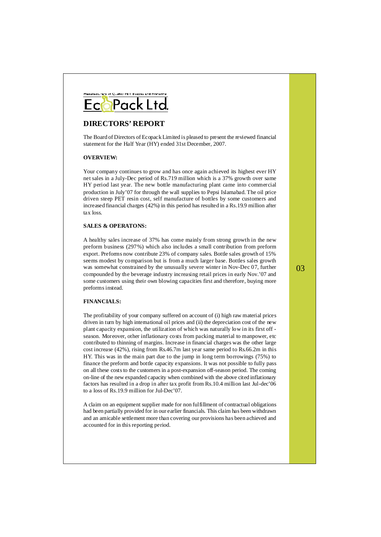

#### **DIRECTORS' REPORT**

The Board of Directors of Ecopack Limited is pleased to present the reviewed financial statement for the Half Year (HY) ended 31st December, 2007.

#### **OVERVIEW:**

Your company continues to grow and has once again achieved its highest ever HY net sales in a July-Dec period of Rs.719 million which is a 37% growth over same HY period last year. The new bottle manufacturing plant came into commercial production in July'07 for through the wall supplies to Pepsi Islamabad. The oil price driven steep PET resin cost, self manufacture of bottles by some customers and increased financial charges (42%) in this period hasresulted in a Rs.19.9 million after tax loss.

#### **SALES & OPERATONS:**

A healthy sales increase of 37% has come mainly from strong growth in the new preform business (297%) which also includes a small contribution from preform export. Preforms now contribute 23% of company sales. Bottle sales growth of 15% seems modest by comparison but is from a much larger base. Bottles sales growth was somewhat constrained by the unusually severe winter in Nov-Dec 07, further compounded by the beverage industry increasing retail prices in early Nov.'07 and some customers using their own blowing capacities first and therefore, buying more preforms instead.

#### **FINANCIALS:**

The profitability of your company suffered on account of (i) high raw material prices driven in turn by high international oil prices and (ii) the depreciation cost of the new plant capacity expansion, the utilization of which was naturally low in its first off season. Moreover, other inflationary costs from packing material to manpower, etc contributed to thinning of margins. Increase in financial charges was the other large cost increase (42%), rising from Rs.46.7m last year same period to Rs.66.2m in this HY. This was in the main part due to the jump in long term borrowings (75%) to finance the preform and bottle capacity expansions. It was not possible to fully pass on all these costs to the customers in a post-expansion off-season period. The coming on-line of the new expanded capacity when combined with the above cited inflationary factors has resulted in a drop in after tax profit from Rs.10.4 million last Jul-dec'06 to a loss of Rs.19.9 million for Jul-Dec'07.

A claim on an equipment supplier made for non fulfillment of contractual obligations had been partially provided for in our earlier financials. This claim has been withdrawn and an amicable settlement more than covering our provisions has been achieved and accounted for in this reporting period.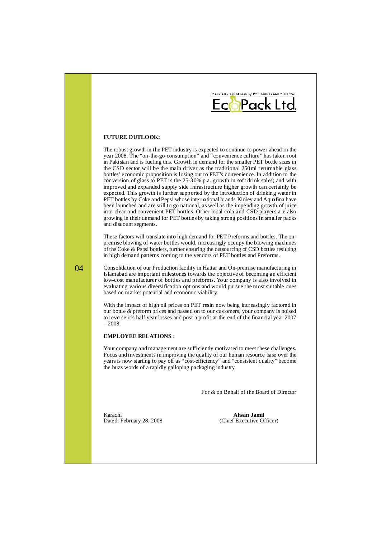

#### **FUTURE OUTLOOK:**

The robust growth in the PET industry is expected to continue to power ahead in the year 2008. The "on-the-go consumption" and "convenience culture" hastaken root in Pakistan and is fueling this. Growth in demand for the smaller PET bottle sizes in the CSD sector will be the main driver as the traditional 250ml returnable glass bottles' economic proposition is losing out to PET's convenience. In addition to the conversion of glass to PET is the 25-30% p.a. growth in soft drink sales; and with improved and expanded supply side infrastructure higher growth can certainly be expected. This growth is further supported by the introduction of drinking water in PET bottles by Coke and Pepsi whose international brands Kinley and Aquafina have been launched and are still to go national, as well as the impending growth of juice into clear and convenient PET bottles. Other local cola and CSD players are also growing in their demand for PET bottles by taking strong positionsin smaller packs and discount segments.

These factors will translate into high demand for PET Preforms and bottles. The onpremise blowing of water bottles would, increasingly occupy the blowing machines of the Coke  $&$  Pepsi bottlers, further ensuring the outsourcing of CSD bottles resulting in high demand patterns coming to the vendors of PET bottles and Preforms.

Consolidation of our Production facility in Hattar and On-premise manufacturing in Islamabad are important milestones towards the objective of becoming an efficient low-cost manufacturer of bottles and preforms. Your company is also involved in evaluating various diversification options and would pursue the most suitable ones based on market potential and economic viability.

With the impact of high oil prices on PET resin now being increasingly factored in our bottle & preform prices and passed on to our customers, your company is poised to reverse it's half year losses and post a profit at the end of the financial year 2007 – 2008.

#### **EMPLOYEE RELATIONS :**

Your company and management are sufficiently motivated to meet these challenges. Focus and investments in improving the quality of our human resource base over the years is now starting to pay off as "cost-efficiency" and "consistent quality" become the buzz words of a rapidly galloping packaging industry.

For & on Behalf of the Board of Director

Karachi Dated: February 28, 2008

**Ahsan Jamil** (Chief Executive Officer)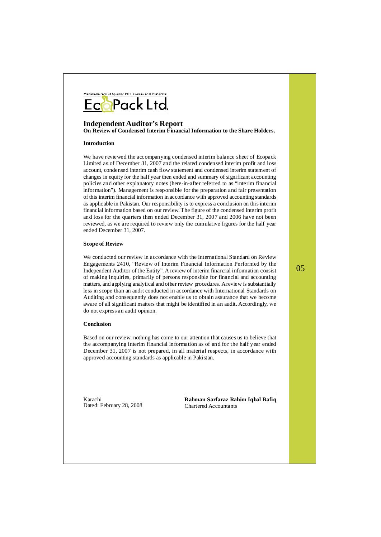

#### **Independent Auditor's Report**

**On Review of Condensed Interim Financial Information to the Share Holders.**

#### **Introduction**

We have reviewed the accompanying condensed interim balance sheet of Ecopack Limited as of December 31, 2007 and the related condensed interim profit and loss account, condensed interim cash flow statement and condensed interim statement of changes in equity for the half year then ended and summary of significant accounting policies and other explanatory notes (here-in-after referred to as "interim financial information"). Management is responsible for the preparation and fair presentation of this interim financial information in accordance with approved accounting standards as applicable in Pakistan. Our responsibility isto express a conclusion on thisinterim financial information based on our review. The figure of the condensed interim profit and loss for the quarters then ended December 31, 2007 and 2006 have not been reviewed, as we are required to review only the cumulative figures for the half year ended December 31, 2007.

#### **Scope of Review**

We conducted our review in accordance with the International Standard on Review Engagements 2410, "Review of Interim Financial Information Performed by the Independent Auditor of the Entity". A review of interim financial information consist of making inquiries, primarily of persons responsible for financial and accounting matters, and applying analytical and other review procedures. Areview issubstantially less in scope than an audit conducted in accordance with International Standards on Auditing and consequently does not enable us to obtain assurance that we become aware of all significant matters that might be identified in an audit. Accordingly, we do not express an audit opinion.

#### **Conclusion**

Based on our review, nothing has come to our attention that causes us to believe that the accompanying interim financial information as of and for the half year ended December 31, 2007 is not prepared, in all material respects, in accordance with approved accounting standards as applicable in Pakistan.

Karachi Dated: February 28, 2008 **Rahman Sarfaraz Rahim Iqbal Rafiq** Chartered Accountants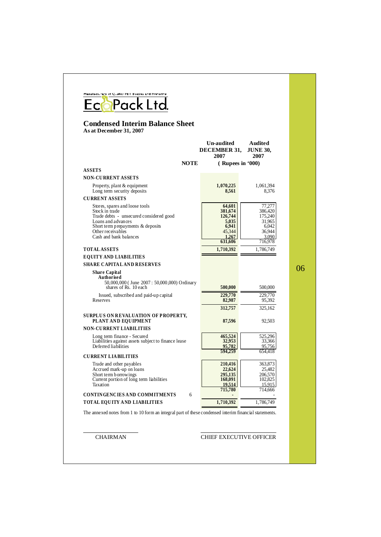| <b>Condensed Interim Balance Sheet</b><br>As at December 31, 2007                                                                                                                                     |                                                                              |                                                                               |  |
|-------------------------------------------------------------------------------------------------------------------------------------------------------------------------------------------------------|------------------------------------------------------------------------------|-------------------------------------------------------------------------------|--|
|                                                                                                                                                                                                       | <b>Un-audited</b><br><b>DECEMBER 31.</b><br>2007                             | Audited<br><b>JUNE 30.</b><br>2007                                            |  |
| <b>NOTE</b>                                                                                                                                                                                           | $($ Rupees in $(000)$                                                        |                                                                               |  |
| <b>ASSETS</b>                                                                                                                                                                                         |                                                                              |                                                                               |  |
| <b>NON-CURRENT ASSETS</b>                                                                                                                                                                             |                                                                              |                                                                               |  |
| Property, plant & equipment<br>Long term security deposits                                                                                                                                            | 1,070,225<br>8,561                                                           | 1,061,394<br>8,376                                                            |  |
| <b>CURRENT ASSETS</b>                                                                                                                                                                                 |                                                                              |                                                                               |  |
| Stores, spares and loose tools<br>Stock in trade<br>Trade debts - unsecured considered good<br>Loans and advances<br>Short term prepayments & deposits<br>Other receivables<br>Cash and bank balances | 64,601<br>381,674<br>126,744<br>5,035<br>6,941<br>45,344<br>1,267<br>631,606 | 77,277<br>386,420<br>175,240<br>31.965<br>6,042<br>36,944<br>3,090<br>716,978 |  |
| <b>TOTAL ASSETS</b>                                                                                                                                                                                   | 1,710,392                                                                    | 1,786,749                                                                     |  |
| <b>EQUITY AND LIABILITIES</b>                                                                                                                                                                         |                                                                              |                                                                               |  |
| <b>SHARE CAPITAL AND RESERVES</b>                                                                                                                                                                     |                                                                              |                                                                               |  |
| <b>Share Capital</b><br>Authorised<br>50,000,000 (June 2007: 50,000,000) Ordinary<br>shares of Rs. 10 each                                                                                            | 500,000                                                                      | 500,000                                                                       |  |
| Issued, subscribed and paid-up capital<br>Reserves                                                                                                                                                    | 229,770<br>82,987                                                            | 229,770<br>95,392                                                             |  |
| <b>SURPLUS ON REVALUATION OF PROPERTY,</b><br>PLANT AND EQUIPMENT                                                                                                                                     | 312,757<br>87,596                                                            | 325,162<br>92,503                                                             |  |
| <b>NON-CURRENT LIABILITIES</b>                                                                                                                                                                        |                                                                              |                                                                               |  |
| Long term finance - Secured<br>Liabilities against assets subject to finance lease<br>Deferred liabilities                                                                                            | 465,524<br>32,953<br>95,782                                                  | 525,296<br>33,366<br>95,756                                                   |  |
| <b>CURRENT LIA BILITIES</b>                                                                                                                                                                           | 594,259                                                                      | 654,418                                                                       |  |
| Trade and other payables<br>Accrued mark-up on loans<br>Short term borrowings<br>Current portion of long term liabilities<br>Taxation                                                                 | 210,416<br>22,624<br>295,135<br>168,091<br>19,514                            | 363,873<br>25,482<br>206,570<br>102,825<br>15.915                             |  |
| <b>CONTINGENCIES AND COMMITMENTS</b><br>6                                                                                                                                                             | 715,780                                                                      | 714,666                                                                       |  |
| TOTAL EQUITY AND LIABILITIES                                                                                                                                                                          | 1,710,392                                                                    | 1,786,749                                                                     |  |

#### CHAIRMAN CHIEF EXECUTIVE OFFICER

w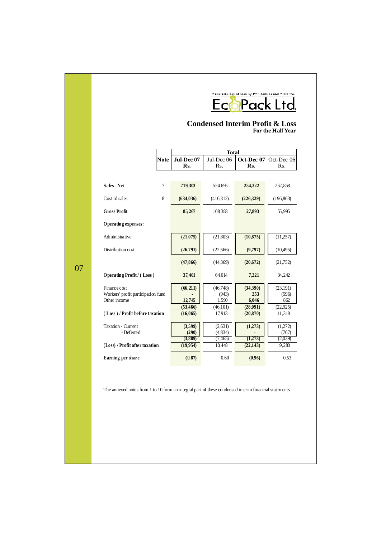# **EcoPack Ltd**

#### **Condensed Interim Profit & Loss For the Half Year**

|                                                                    |                | <b>Total</b>                            |                                          |                                 |                                      |
|--------------------------------------------------------------------|----------------|-----------------------------------------|------------------------------------------|---------------------------------|--------------------------------------|
|                                                                    | <b>Note</b>    | Jul-Dec 07<br>Rs.                       | Jul-Dec 06<br>Rs.                        | Oct-Dec 07<br>Rs.               | Oct-Dec 06<br>Rs.                    |
|                                                                    |                |                                         |                                          |                                 |                                      |
| Sales - Net                                                        | $\overline{7}$ | 719,303                                 | 524,695                                  | 254,222                         | 252,858                              |
| Cost of sales                                                      | 8              | (634, 036)                              | (416,312)                                | (226,329)                       | (196, 863)                           |
| <b>Gross Profit</b>                                                |                | 85,267                                  | 108,383                                  | 27,893                          | 55,995                               |
| Operating expenses:                                                |                |                                         |                                          |                                 |                                      |
| Administrative                                                     |                | (21,075)                                | (21, 803)                                | (10, 875)                       | (11,257)                             |
| Distribution cost                                                  |                | (26,791)                                | (22,566)                                 | (9,797)                         | (10, 495)                            |
|                                                                    |                | (47, 866)                               | (44,369)                                 | (20,672)                        | (21,752)                             |
| <b>Operating Profit / (Loss)</b>                                   |                | 37,401                                  | 64.014                                   | 7,221                           | 34,242                               |
| Finance cost<br>Workers' profit participation fund<br>Other income |                | (66, 211)<br>12,745                     | (46,748)<br>(943)<br>1,590               | (34,390)<br>253<br>6,046        | (23, 191)<br>(596)<br>862            |
| (Loss)/Profit before taxation                                      |                | (53, 466)<br>(16,065)                   | (46,101)<br>17,913                       | (28,091)<br>(20, 870)           | (22.925)<br>11,318                   |
| Taxation - Current<br>- Deferred<br>(Loss) / Profit after taxation |                | (3,599)<br>(290)<br>(3,889)<br>(19,954) | (2,631)<br>(4,834)<br>(7, 465)<br>10,448 | (1,273)<br>(1,273)<br>(22, 143) | (1,272)<br>(767)<br>(2,039)<br>9,280 |
| Earning per share                                                  |                | (0.87)                                  | 0.60                                     | (0.96)                          | 0.53                                 |

The annexed notes from 1 to 10 form an integral part of these condensed interim financial statements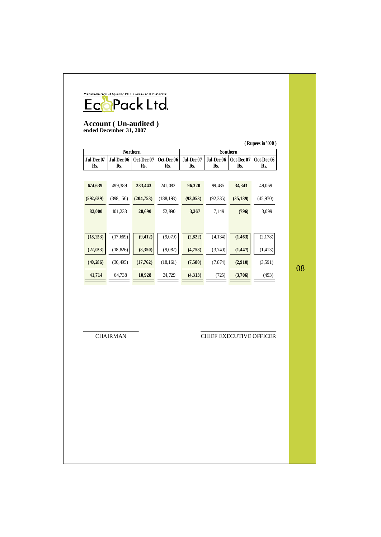## HANDREY STRAIGHT BOOK LTd.

#### **Account ( Un-audited ) ended December 31, 2007**

| (Rupees in '000) |            |            |            |                 |            |            |                       |
|------------------|------------|------------|------------|-----------------|------------|------------|-----------------------|
| <b>Northern</b>  |            |            |            | <b>Southern</b> |            |            |                       |
| Jul-Dec 07       | Jul-Dec 06 | Oct-Dec 07 | Oct-Dec 06 | Jul-Dec 07      | Jul-Dec 06 | Oct-Dec 07 | Oct-Dec <sub>06</sub> |
| Rs.              | Rs.        | Rs.        | Rs.        | Rs.             | Rs.        | Rs.        | Rs.                   |
|                  |            |            |            |                 |            |            |                       |
| 674,639          | 499,389    | 233,443    | 241,082    | 96,320          | 99,485     | 34,343     | 49,069                |
| (592, 639)       | (398, 156) | (204,753)  | (188, 193) | (93, 053)       | (92, 335)  | (35, 139)  | (45,970)              |
|                  |            |            |            |                 |            |            |                       |
| 82,000           | 101,233    | 28,690     | 52,890     | 3,267           | 7,149      | (796)      | 3,099                 |
|                  |            |            |            |                 |            |            |                       |
|                  |            |            |            |                 |            |            |                       |
| (18, 253)        | (17, 669)  | (9, 412)   | (9,079)    | (2,822)         | (4, 134)   | (1, 463)   | (2,178)               |
|                  |            |            |            |                 |            |            |                       |
| (22, 033)        | (18, 826)  | (8,350)    | (9,082)    | (4,758)         | (3,740)    | (1,447)    | (1,413)               |
| (40, 286)        | (36, 495)  | (17,762)   | (18, 161)  | (7,580)         | (7, 874)   | (2,910)    | (3,591)               |
| 41,714           | 64,738     | 10,928     | 34,729     | (4,313)         | (725)      | (3,706)    | (493)                 |
|                  |            |            |            |                 |            |            |                       |

08

CHAIRMAN CHIEF EXECUTIVE OFFICER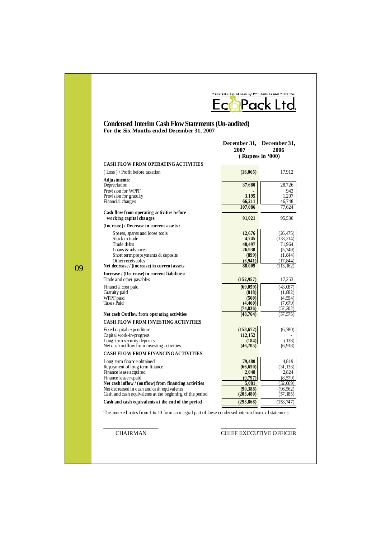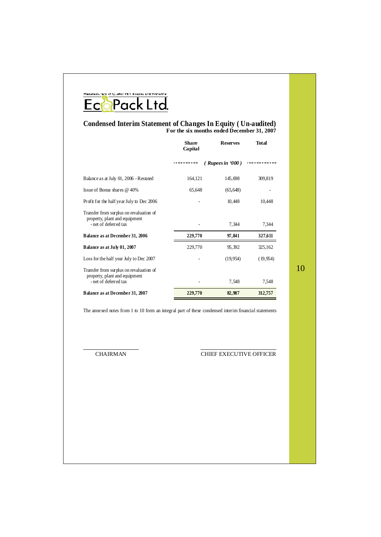## HANDREY STRAIGHT BOOK LTd.

#### **Condensed Interim Statement of Changes In Equity ( Un-audited) For the six months ended December 31, 2007**

|                                                                                                   | <b>Share</b><br>Capital | <b>Reserves</b> | <b>Total</b> |
|---------------------------------------------------------------------------------------------------|-------------------------|-----------------|--------------|
|                                                                                                   |                         | (Rupees in 900) |              |
| Balance as at July 01, 2006 - Restated                                                            | 164,121                 | 145,698         | 309,819      |
| Issue of Bonus shares @ 40%                                                                       | 65,648                  | (65, 648)       |              |
| Profit for the half year July to Dec 2006                                                         |                         | 10,448          | 10,448       |
| Transfer from surplus on revaluation of<br>property, plant and equipment<br>- net of deferred tax |                         | 7,344           | 7,344        |
| Balance as at December 31, 2006                                                                   | 229,770                 | 97,841          | 327,611      |
| Balance as at July 01, 2007                                                                       | 229,770                 | 95,392          | 325,162      |
| Loss for the half year July to Dec 2007                                                           |                         | (19,954)        | (19, 954)    |
| Transfer from surplus on revaluation of<br>property, plant and equipment<br>- net of deferred tax |                         | 7,548           | 7,548        |
| Balance as at December 31, 2007                                                                   | 229,770                 | 82,987          | 312,757      |

10

The annexed notes from 1 to 10 form an integral part of these condensed interim financial statements

#### CHAIRMAN CHIEF EXECUTIVE OFFICER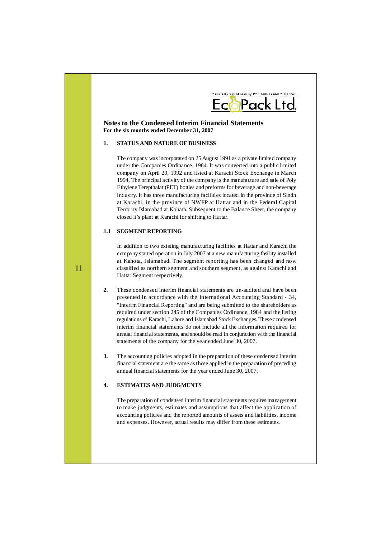

#### **Notes to the Condensed Interim Financial Statements For the six months ended December 31, 2007**

#### **1. STATUS AND NATURE OF BUSINESS**

The company was incorporated on 25 August 1991 as a private limited company under the Companies Ordinance, 1984. It was converted into a public limited company on April 29, 1992 and listed at Karachi Stock Exchange in March 1994. The principal activity of the company isthe manufacture and sale of Poly Ethylene Terepthalat (PET) bottles and preforms for beverage and non-beverage industry. It has three manufacturing facilities located in the province of Sindh at Karachi, in the province of NWFP at Hattar and in the Federal Capital Terrority Islamabad at Kohata. Subsequent to the Balance Sheet, the company closed it's plant at Karachi for shifting to Hattar.

#### **1.1 SEGMENT REPORTING**

In addition to two existing manufacturing facilities at Hattar and Karachi the company started operation in July 2007 at a new manufacturing fasility installed at Kahota, Islamabad. The segment reporting has been changed and now classified as northern segment and southern segment, as against Karachi and Hattar Segment respectively.

- **2.** These condensed interim financial statements are un-audited and have been presented in accordance with the International Accounting Standard - 34, "Interim Financial Reporting" and are being submitted to the shareholders as required under section 245 of the Companies Ordinance, 1984 and the listing regulations of Karachi, Lahore and Islamabad Stock Exchanges. These condensed interim financial statements do not include all the information required for annual financial statements, and should be read in conjunction with the financial statements of the company for the year ended June 30, 2007.
- **3.** The accounting policies adopted in the preparation of these condensed interim financial statement are the same asthose applied in the preparation of preceding annual financial statements for the year ended June 30, 2007.

#### **4. ESTIMATES AND JUDGMENTS**

The preparation of condensed interim financial statements requires management to make judgments, estimates and assumptions that affect the application of accounting policies and the reported amounts of assets and liabilities, income and expenses. However, actual results may differ from these estimates.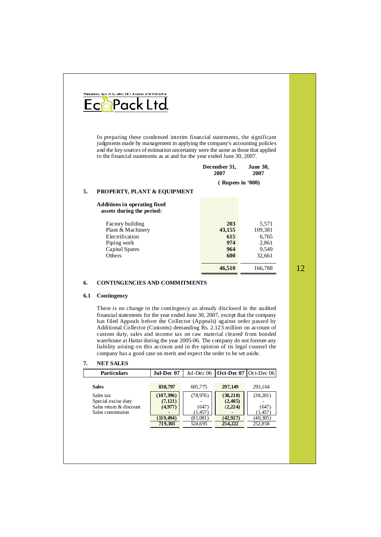

In preparing these condensed interim financial statements, the significant judgments made by management in applying the company's accounting policies and the key sources of estimation uncertainty were the same asthose that applied to the financial statements as at and for the year ended June 30, 2007.

|    |                                                           | December 31,<br>2007  | <b>June 30,</b><br>2007 |
|----|-----------------------------------------------------------|-----------------------|-------------------------|
|    |                                                           | $($ Rupees in $(000)$ |                         |
| 5. | <b>PROPERTY, PLANT &amp; EQUIPMENT</b>                    |                       |                         |
|    | Additions in operating fixed<br>assets during the period: |                       |                         |
|    | Factory building                                          | 203                   | 5,571                   |
|    | Plant & Machinery                                         | 43,155                | 109,381                 |
|    | Electrification                                           | 615                   | 6,765                   |
|    | Piping work                                               | 974                   | 2,861                   |
|    | Capital Spares                                            | 964                   | 9.549                   |
|    | Others                                                    | 600                   | 32.661                  |

#### **6. CONTINGENCIES AND COMMITMENTS**

#### **6.1 Contingency**

There is no change in the contingency as already disclosed in the audited financial statements for the year ended June 30, 2007, except that the company has filed Appeals before the Collector (Appeals) against order passed by Additional Collector (Customs) demanding Rs. 2.123 million on account of custom duty, sales and income tax on raw material cleared from bonded warehouse at Hattar during the year 2005-06. The company do not foresee any liability arising on this account and in the opinion of its legal counsel the company has a good case on merit and expect the order to be set aside.

#### **7. NET SALES**

| <b>Particulars</b>                                                              | Jul-Dec 07                                                 | Jul-Dec 06                                         | $\vert$ Oct-Dec 07 $\vert$ Oct-Dec 06 $\vert$             |                                                   |
|---------------------------------------------------------------------------------|------------------------------------------------------------|----------------------------------------------------|-----------------------------------------------------------|---------------------------------------------------|
| <b>Sales</b>                                                                    | 838,797                                                    | 605,775                                            | 297,149                                                   | 293.164                                           |
| Sales tax<br>Special excise duty<br>Sales return & discount<br>Sales commission | (107, 396)<br>(7, 121)<br>(4,977)<br>(119, 494)<br>719,303 | (78, 976)<br>(647)<br>1.457<br>(81,081)<br>524,695 | (38, 218)<br>(2, 485)<br>(2, 224)<br>(42, 927)<br>254,222 | (38,201)<br>(647)<br>1,457<br>(40.305)<br>252,858 |

12

**46,510** 166,788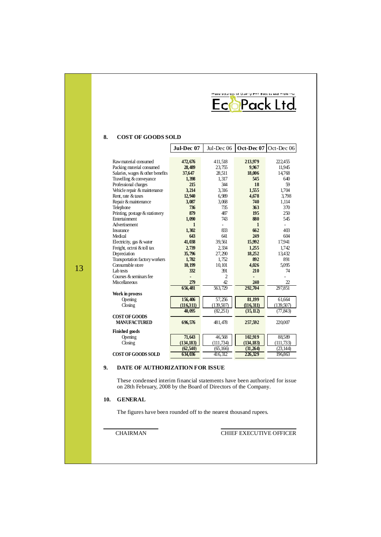|                                                                                                                                                                                                                                                                                                                                                                                                                                                                                                                                  |                                                                                                                                                                                   | Ec                                                                                                                                                                                | Manufacturers of Quality PET Bottles and Preforms                                                                                                                   | Pack Ltd                                                                                                                                                                                    |
|----------------------------------------------------------------------------------------------------------------------------------------------------------------------------------------------------------------------------------------------------------------------------------------------------------------------------------------------------------------------------------------------------------------------------------------------------------------------------------------------------------------------------------|-----------------------------------------------------------------------------------------------------------------------------------------------------------------------------------|-----------------------------------------------------------------------------------------------------------------------------------------------------------------------------------|---------------------------------------------------------------------------------------------------------------------------------------------------------------------|---------------------------------------------------------------------------------------------------------------------------------------------------------------------------------------------|
| 8.<br><b>COST OF GOODS SOLD</b>                                                                                                                                                                                                                                                                                                                                                                                                                                                                                                  |                                                                                                                                                                                   |                                                                                                                                                                                   |                                                                                                                                                                     |                                                                                                                                                                                             |
|                                                                                                                                                                                                                                                                                                                                                                                                                                                                                                                                  | Jul-Dec 07                                                                                                                                                                        | Jul-Dec 06                                                                                                                                                                        | Oct-Dec 07                                                                                                                                                          | Oct-Dec 06                                                                                                                                                                                  |
| Raw material consumed<br>Packing material consumed<br>Salaries, wages & other benefits<br>Travelling & conveyance<br>Professional charges<br>Vehicle repair & maintenance<br>Rent, rate & taxes<br>Repair & maintenance<br>Telephone<br>Printing, postage & stationery<br><b>Entertainment</b><br>Advertisement<br>Insurance<br>Medical<br>Electricity, gas & water<br>Freight, octroi & toll tax<br>Depreciation<br>Transportation factory workers<br>Consumpble store<br>I ab tests<br>Courses & seminars fee<br>Miscellaneous | 472,676<br>28,489<br>37,647<br>1,398<br>215<br>3,214<br>12,940<br>3,087<br>736<br>879<br>1.090<br>1<br>1,302<br>643<br>41,038<br>2,739<br>35,796<br>1,782<br>10,199<br>332<br>279 | 411,518<br>23,755<br>28,511<br>1,317<br>344<br>3,316<br>6,989<br>3,068<br>735<br>487<br>743<br>ä,<br>833<br>641<br>39,561<br>2,334<br>27,290<br>1,752<br>10,101<br>391<br>2<br>42 | 213,979<br>9,967<br>18,006<br>545<br>18<br>1,555<br>4,678<br>740<br>363<br>195<br>880<br>1<br>662<br>249<br>15,992<br>1,255<br>18,252<br>892<br>4,026<br>210<br>240 | 222,455<br>11,945<br>14,768<br>640<br>59<br>1,704<br>3,798<br>1,114<br>370<br>250<br>545<br>$\overline{\phantom{a}}$<br>403<br>604<br>17,941<br>1,742<br>13.432<br>891<br>5.095<br>74<br>22 |
| Work in process<br>Opening<br>Closing<br><b>COST OF GOODS</b><br><b>MANUFACTURED</b>                                                                                                                                                                                                                                                                                                                                                                                                                                             | 656,481<br>156,406<br>(116,311)<br>40,095<br>696,576                                                                                                                              | 563.729<br>57,256<br>(139,507)<br>(82,251)<br>481,478                                                                                                                             | 292,704<br>81,199<br>(116, 311)<br>(35, 112)<br>257,592                                                                                                             | 297,851<br>61,664<br>(139,507)<br>(77, 843)<br>220,007                                                                                                                                      |
| <b>Finished goods</b><br>Opening<br>Closing<br><b>COST OF GOODS SOLD</b>                                                                                                                                                                                                                                                                                                                                                                                                                                                         | 71,643<br>(134, 183)<br>(62,540)<br>634,036                                                                                                                                       | 46,568<br>(111, 734)<br>(65, 166)<br>416,312                                                                                                                                      | 102,919<br>(134, 183)<br>(31,264)<br>226,329                                                                                                                        | 88,589<br>(111, 733)<br>(23, 144)<br>196,863                                                                                                                                                |

#### **9. DATE OF AUTHORIZATION FOR ISSUE**

These condensed interim financial statements have been authorized for issue on 28th February, 2008 by the Board of Directors of the Company.

#### **10. GENERAL**

13

The figures have been rounded off to the nearest thousand rupees.

CHAIRMAN CHIEF EXECUTIVE OFFICER